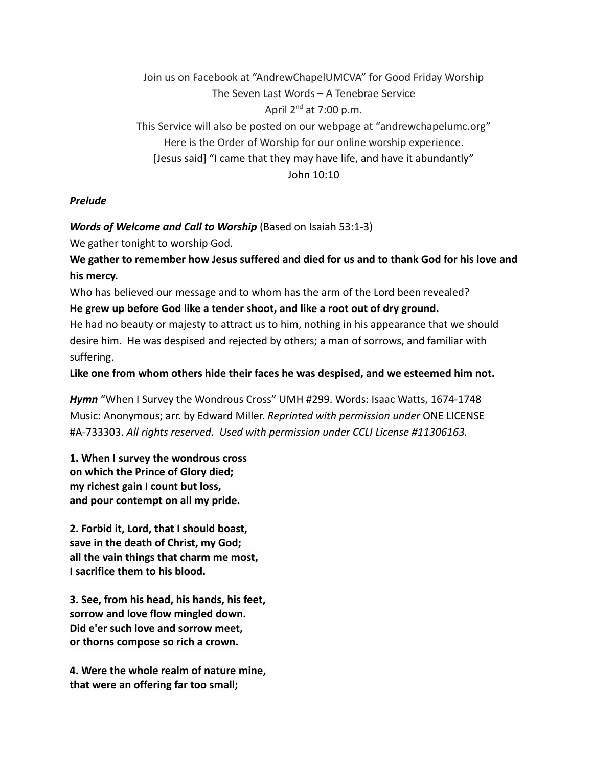Join us on Facebook at "AndrewChapelUMCVA" for Good Friday Worship The Seven Last Words – A Tenebrae Service April  $2^{nd}$  at 7:00 p.m. This Service will also be posted on our webpage at "andrewchapelumc.org" Here is the Order of Worship for our online worship experience. [Jesus said] "I came that they may have life, and have it abundantly" John 10:10

#### *Prelude*

#### *Words of Welcome and Call to Worship* (Based on Isaiah 53:1-3)

We gather tonight to worship God.

**We gather to remember how Jesus suffered and died for us and to thank God for his love and his mercy.**

Who has believed our message and to whom has the arm of the Lord been revealed? **He grew up before God like a tender shoot, and like a root out of dry ground.**

He had no beauty or majesty to attract us to him, nothing in his appearance that we should desire him. He was despised and rejected by others; a man of sorrows, and familiar with suffering.

**Like one from whom others hide their faces he was despised, and we esteemed him not.**

*Hymn* "When I Survey the Wondrous Cross" UMH #299. Words: Isaac Watts, 1674-1748 Music: Anonymous; arr. by Edward Miller. *Reprinted with permission under* ONE LICENSE #A-733303. *All rights reserved. Used with permission under CCLI License #11306163.*

**1. When I survey the wondrous cross on which the Prince of Glory died; my richest gain I count but loss, and pour contempt on all my pride.**

**2. Forbid it, Lord, that I should boast, save in the death of Christ, my God; all the vain things that charm me most, I sacrifice them to his blood.**

**3. See, from his head, his hands, his feet, sorrow and love flow mingled down. Did e'er such love and sorrow meet, or thorns compose so rich a crown.**

**4. Were the whole realm of nature mine, that were an offering far too small;**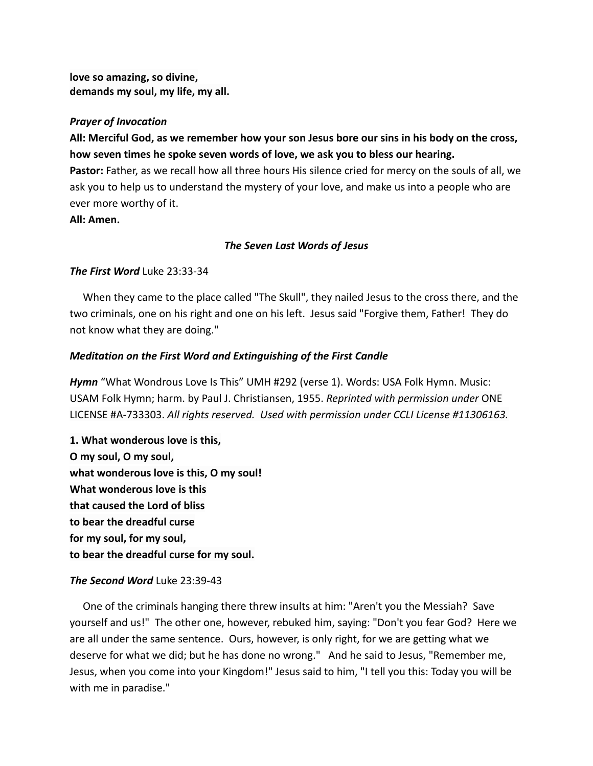**love so amazing, so divine, demands my soul, my life, my all.**

#### *Prayer of Invocation*

**All: Merciful God, as we remember how your son Jesus bore our sins in his body on the cross, how seven times he spoke seven words of love, we ask you to bless our hearing.**

**Pastor:** Father, as we recall how all three hours His silence cried for mercy on the souls of all, we ask you to help us to understand the mystery of your love, and make us into a people who are ever more worthy of it.

**All: Amen.**

#### *The Seven Last Words of Jesus*

#### *The First Word* Luke 23:33-34

When they came to the place called "The Skull", they nailed Jesus to the cross there, and the two criminals, one on his right and one on his left. Jesus said "Forgive them, Father! They do not know what they are doing."

#### *Meditation on the First Word and Extinguishing of the First Candle*

*Hymn* "What Wondrous Love Is This" UMH #292 (verse 1). Words: USA Folk Hymn. Music: USAM Folk Hymn; harm. by Paul J. Christiansen, 1955. *Reprinted with permission under* ONE LICENSE #A-733303. *All rights reserved. Used with permission under CCLI License #11306163.*

**1. What wonderous love is this, O my soul, O my soul, what wonderous love is this, O my soul! What wonderous love is this that caused the Lord of bliss to bear the dreadful curse for my soul, for my soul, to bear the dreadful curse for my soul.**

### *The Second Word* Luke 23:39-43

One of the criminals hanging there threw insults at him: "Aren't you the Messiah? Save yourself and us!" The other one, however, rebuked him, saying: "Don't you fear God? Here we are all under the same sentence. Ours, however, is only right, for we are getting what we deserve for what we did; but he has done no wrong." And he said to Jesus, "Remember me, Jesus, when you come into your Kingdom!" Jesus said to him, "I tell you this: Today you will be with me in paradise."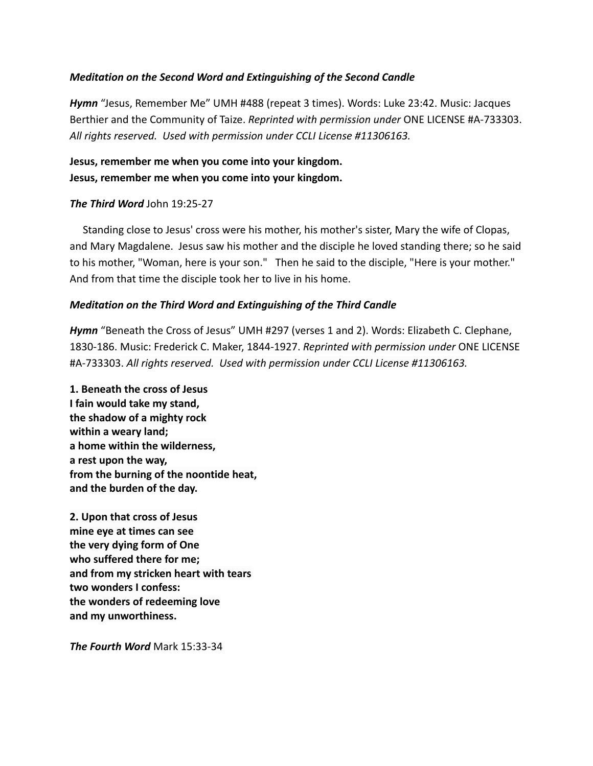### *Meditation on the Second Word and Extinguishing of the Second Candle*

*Hymn* "Jesus, Remember Me" UMH #488 (repeat 3 times). Words: Luke 23:42. Music: Jacques Berthier and the Community of Taize. *Reprinted with permission under* ONE LICENSE #A-733303. *All rights reserved. Used with permission under CCLI License #11306163.*

# **Jesus, remember me when you come into your kingdom. Jesus, remember me when you come into your kingdom.**

### *The Third Word* John 19:25-27

Standing close to Jesus' cross were his mother, his mother's sister, Mary the wife of Clopas, and Mary Magdalene. Jesus saw his mother and the disciple he loved standing there; so he said to his mother, "Woman, here is your son." Then he said to the disciple, "Here is your mother." And from that time the disciple took her to live in his home.

## *Meditation on the Third Word and Extinguishing of the Third Candle*

*Hymn* "Beneath the Cross of Jesus" UMH #297 (verses 1 and 2). Words: Elizabeth C. Clephane, 1830-186. Music: Frederick C. Maker, 1844-1927. *Reprinted with permission under* ONE LICENSE #A-733303. *All rights reserved. Used with permission under CCLI License #11306163.*

**1. Beneath the cross of Jesus I fain would take my stand, the shadow of a mighty rock within a weary land; a home within the wilderness, a rest upon the way, from the burning of the noontide heat, and the burden of the day.**

**2. Upon that cross of Jesus mine eye at times can see the very dying form of One who suffered there for me; and from my stricken heart with tears two wonders I confess: the wonders of redeeming love and my unworthiness.**

*The Fourth Word* Mark 15:33-34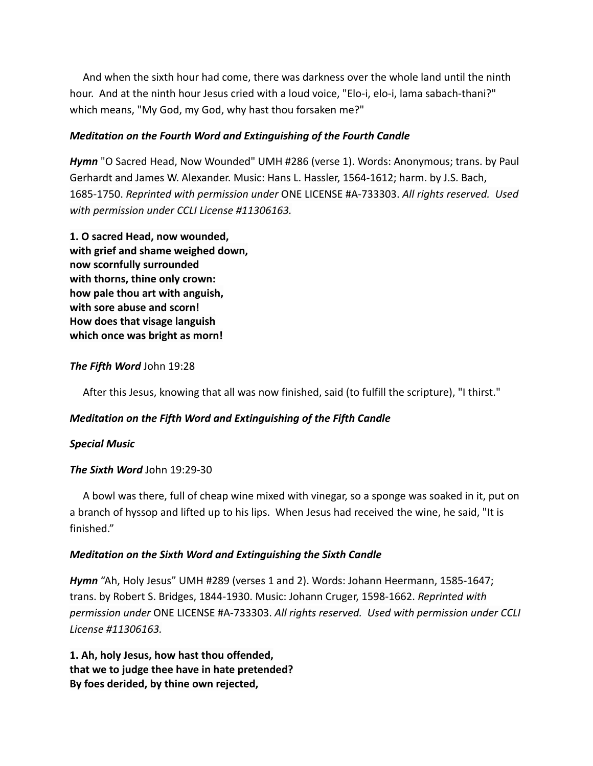And when the sixth hour had come, there was darkness over the whole land until the ninth hour. And at the ninth hour Jesus cried with a loud voice, "Elo-i, elo-i, lama sabach-thani?" which means, "My God, my God, why hast thou forsaken me?"

## *Meditation on the Fourth Word and Extinguishing of the Fourth Candle*

*Hymn* "O Sacred Head, Now Wounded" UMH #286 (verse 1). Words: Anonymous; trans. by Paul Gerhardt and James W. Alexander. Music: Hans L. Hassler, 1564-1612; harm. by J.S. Bach, 1685-1750. *Reprinted with permission under* ONE LICENSE #A-733303. *All rights reserved. Used with permission under CCLI License #11306163.*

**1. O sacred Head, now wounded, with grief and shame weighed down, now scornfully surrounded with thorns, thine only crown: how pale thou art with anguish, with sore abuse and scorn! How does that visage languish which once was bright as morn!**

## *The Fifth Word* John 19:28

After this Jesus, knowing that all was now finished, said (to fulfill the scripture), "I thirst."

## *Meditation on the Fifth Word and Extinguishing of the Fifth Candle*

### *Special Music*

### *The Sixth Word* John 19:29-30

A bowl was there, full of cheap wine mixed with vinegar, so a sponge was soaked in it, put on a branch of hyssop and lifted up to his lips. When Jesus had received the wine, he said, "It is finished."

### *Meditation on the Sixth Word and Extinguishing the Sixth Candle*

*Hymn* "Ah, Holy Jesus" UMH #289 (verses 1 and 2). Words: Johann Heermann, 1585-1647; trans. by Robert S. Bridges, 1844-1930. Music: Johann Cruger, 1598-1662. *Reprinted with permission under* ONE LICENSE #A-733303. *All rights reserved. Used with permission under CCLI License #11306163.*

**1. Ah, holy Jesus, how hast thou offended, that we to judge thee have in hate pretended? By foes derided, by thine own rejected,**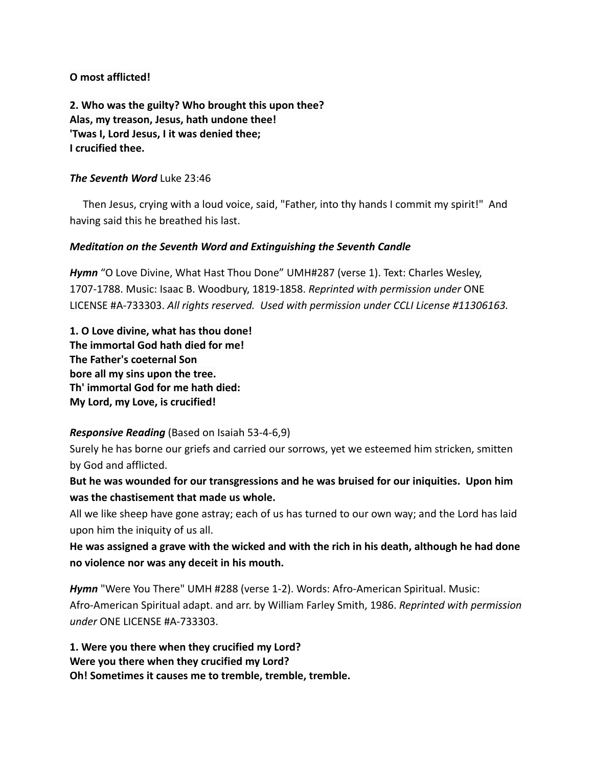## **O most afflicted!**

**2. Who was the guilty? Who brought this upon thee? Alas, my treason, Jesus, hath undone thee! 'Twas I, Lord Jesus, I it was denied thee; I crucified thee.**

### *The Seventh Word* Luke 23:46

Then Jesus, crying with a loud voice, said, "Father, into thy hands I commit my spirit!" And having said this he breathed his last.

## *Meditation on the Seventh Word and Extinguishing the Seventh Candle*

*Hymn* "O Love Divine, What Hast Thou Done" UMH#287 (verse 1). Text: Charles Wesley, 1707-1788. Music: Isaac B. Woodbury, 1819-1858. *Reprinted with permission under* ONE LICENSE #A-733303. *All rights reserved. Used with permission under CCLI License #11306163.*

**1. O Love divine, what has thou done! The immortal God hath died for me! The Father's coeternal Son bore all my sins upon the tree. Th' immortal God for me hath died: My Lord, my Love, is crucified!**

## *Responsive Reading* (Based on Isaiah 53-4-6,9)

Surely he has borne our griefs and carried our sorrows, yet we esteemed him stricken, smitten by God and afflicted.

**But he was wounded for our transgressions and he was bruised for our iniquities. Upon him was the chastisement that made us whole.**

All we like sheep have gone astray; each of us has turned to our own way; and the Lord has laid upon him the iniquity of us all.

**He was assigned a grave with the wicked and with the rich in his death, although he had done no violence nor was any deceit in his mouth.**

*Hymn* "Were You There" UMH #288 (verse 1-2). Words: Afro-American Spiritual. Music: Afro-American Spiritual adapt. and arr. by William Farley Smith, 1986. *Reprinted with permission under* ONE LICENSE #A-733303.

**1. Were you there when they crucified my Lord? Were you there when they crucified my Lord? Oh! Sometimes it causes me to tremble, tremble, tremble.**